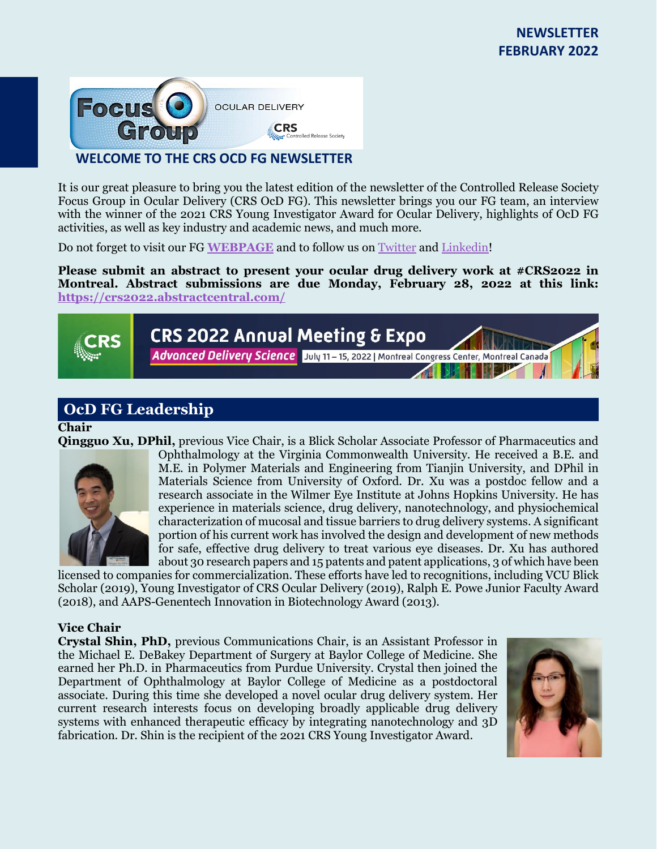

It is our great pleasure to bring you the latest edition of the newsletter of the Controlled Release Society Focus Group in Ocular Delivery (CRS OcD FG). This newsletter brings you our FG team, an interview with the winner of the 2021 CRS Young Investigator Award for Ocular Delivery, highlights of OcD FG activities, as well as key industry and academic news, and much more.

Do not forget to visit our FG **[WEBPAGE](https://www.controlledreleasesociety.org/focus-groups/ocular-delivery-ocd)** and to follow us on [Twitter](https://twitter.com/CRS_FG_Ocular) an[d Linkedin!](https://www.linkedin.com/groups/8147111/)

Please submit an abstract to present your ocular drug delivery work at #CRS2022 in **Montreal. Abstract submissions are due Monday, February 28, 2022 at this link: <https://crs2022.abstractcentral.com/>**



# **OcD FG Leadership**

#### **Chair**

**Qingguo Xu, DPhil,** previous Vice Chair, is a Blick Scholar Associate Professor of Pharmaceutics and



Ophthalmology at the Virginia Commonwealth University. He received a B.E. and M.E. in Polymer Materials and Engineering from Tianjin University, and DPhil in Materials Science from University of Oxford. Dr. Xu was a postdoc fellow and a research associate in the Wilmer Eye Institute at Johns Hopkins University. He has experience in materials science, drug delivery, nanotechnology, and physiochemical characterization of mucosal and tissue barriers to drug delivery systems. A significant portion of his current work has involved the design and development of new methods for safe, effective drug delivery to treat various eye diseases. Dr. Xu has authored about 30 research papers and 15 patents and patent applications, 3 of which have been

licensed to companies for commercialization. These efforts have led to recognitions, including VCU Blick Scholar (2019), Young Investigator of CRS Ocular Delivery (2019), Ralph E. Powe Junior Faculty Award (2018), and AAPS-Genentech Innovation in Biotechnology Award (2013).

#### **Vice Chair**

**Crystal Shin, PhD,** previous Communications Chair, is an Assistant Professor in the Michael E. DeBakey Department of Surgery at Baylor College of Medicine. She earned her Ph.D. in Pharmaceutics from Purdue University. Crystal then joined the Department of Ophthalmology at Baylor College of Medicine as a postdoctoral associate. During this time she developed a novel ocular drug delivery system. Her current research interests focus on developing broadly applicable drug delivery systems with enhanced therapeutic efficacy by integrating nanotechnology and 3D fabrication. Dr. Shin is the recipient of the 2021 CRS Young Investigator Award.

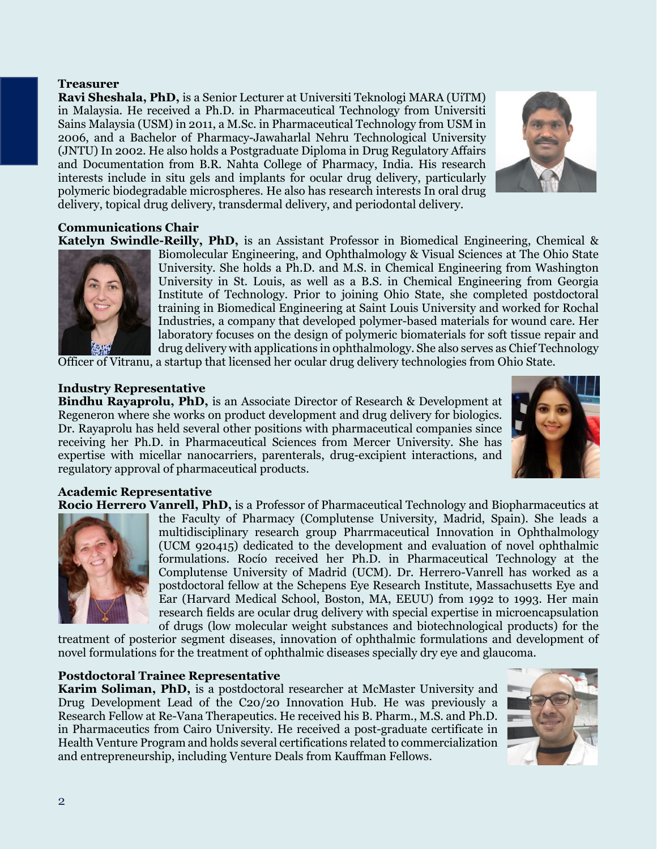2

#### **Treasurer**

**Ravi Sheshala, PhD,** is a Senior Lecturer at Universiti Teknologi MARA (UiTM) in Malaysia. He received a Ph.D. in Pharmaceutical Technology from Universiti Sains Malaysia (USM) in 2011, a M.Sc. in Pharmaceutical Technology from USM in 2006, and a Bachelor of Pharmacy-Jawaharlal Nehru Technological University (JNTU) In 2002. He also holds a Postgraduate Diploma in Drug Regulatory Affairs and Documentation from B.R. Nahta College of Pharmacy, India. His research interests include in situ gels and implants for ocular drug delivery, particularly polymeric biodegradable microspheres. He also has research interests In oral drug delivery, topical drug delivery, transdermal delivery, and periodontal delivery.

**Communications Chair**

**Katelyn Swindle-Reilly, PhD,** is an Assistant Professor in Biomedical Engineering, Chemical & Biomolecular Engineering, and Ophthalmology & Visual Sciences at The Ohio State University. She holds a Ph.D. and M.S. in Chemical Engineering from Washington University in St. Louis, as well as a B.S. in Chemical Engineering from Georgia Institute of Technology. Prior to joining Ohio State, she completed postdoctoral training in Biomedical Engineering at Saint Louis University and worked for Rochal Industries, a company that developed polymer-based materials for wound care. Her laboratory focuses on the design of polymeric biomaterials for soft tissue repair and drug delivery with applications in ophthalmology. She also serves as Chief Technology

Officer of Vitranu, a startup that licensed her ocular drug delivery technologies from Ohio State.

## **Industry Representative**

**Bindhu Rayaprolu, PhD,** is an Associate Director of Research & Development at Regeneron where she works on product development and drug delivery for biologics. Dr. Rayaprolu has held several other positions with pharmaceutical companies since receiving her Ph.D. in Pharmaceutical Sciences from Mercer University. She has expertise with micellar nanocarriers, parenterals, drug-excipient interactions, and regulatory approval of pharmaceutical products.

## **Academic Representative**

**Rocio Herrero Vanrell, PhD,** is a Professor of Pharmaceutical Technology and Biopharmaceutics at

the Faculty of Pharmacy (Complutense University, Madrid, Spain). She leads a multidisciplinary research group Pharrmaceutical Innovation in Ophthalmology (UCM 920415) dedicated to the development and evaluation of novel ophthalmic formulations. Rocío received her Ph.D. in Pharmaceutical Technology at the Complutense University of Madrid (UCM). Dr. Herrero-Vanrell has worked as a postdoctoral fellow at the Schepens Eye Research Institute, Massachusetts Eye and Ear (Harvard Medical School, Boston, MA, EEUU) from 1992 to 1993. Her main research fields are ocular drug delivery with special expertise in microencapsulation of drugs (low molecular weight substances and biotechnological products) for the

treatment of posterior segment diseases, innovation of ophthalmic formulations and development of novel formulations for the treatment of ophthalmic diseases specially dry eye and glaucoma.

#### **Postdoctoral Trainee Representative**

**Karim Soliman, PhD,** is a postdoctoral researcher at McMaster University and Drug Development Lead of the C20/20 Innovation Hub. He was previously a Research Fellow at Re-Vana Therapeutics. He received his B. Pharm., M.S. and Ph.D. in Pharmaceutics from Cairo University. He received a post-graduate certificate in Health Venture Program and holds several certifications related to commercialization and entrepreneurship, including Venture Deals from Kauffman Fellows.





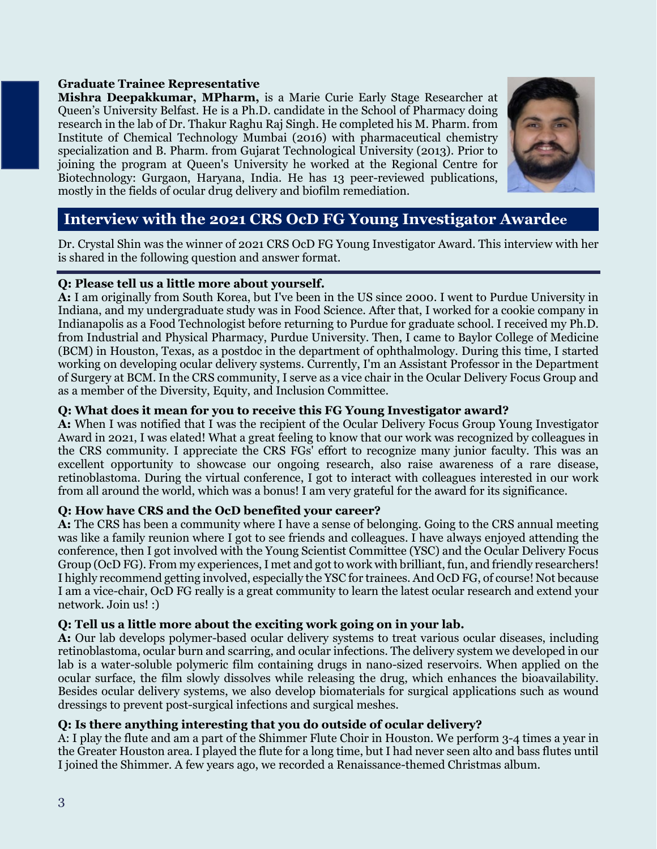#### **Graduate Trainee Representative**

**Mishra Deepakkumar, MPharm,** is a Marie Curie Early Stage Researcher at Queen's University Belfast. He is a Ph.D. candidate in the School of Pharmacy doing research in the lab of Dr. Thakur Raghu Raj Singh. He completed his M. Pharm. from Institute of Chemical Technology Mumbai (2016) with pharmaceutical chemistry specialization and B. Pharm. from Gujarat Technological University (2013). Prior to joining the program at Queen's University he worked at the Regional Centre for Biotechnology: Gurgaon, Haryana, India. He has 13 peer-reviewed publications, mostly in the fields of ocular drug delivery and biofilm remediation.



## **Interview with the 2021 CRS OcD FG Young Investigator Awardee**

Dr. Crystal Shin was the winner of 2021 CRS OcD FG Young Investigator Award. This interview with her is shared in the following question and answer format.

#### **Q: Please tell us a little more about yourself.**

**A:** I am originally from South Korea, but I've been in the US since 2000. I went to Purdue University in Indiana, and my undergraduate study was in Food Science. After that, I worked for a cookie company in Indianapolis as a Food Technologist before returning to Purdue for graduate school. I received my Ph.D. from Industrial and Physical Pharmacy, Purdue University. Then, I came to Baylor College of Medicine (BCM) in Houston, Texas, as a postdoc in the department of ophthalmology. During this time, I started working on developing ocular delivery systems. Currently, I'm an Assistant Professor in the Department of Surgery at BCM. In the CRS community, I serve as a vice chair in the Ocular Delivery Focus Group and as a member of the Diversity, Equity, and Inclusion Committee.

#### **Q: What does it mean for you to receive this FG Young Investigator award?**

**A:** When I was notified that I was the recipient of the Ocular Delivery Focus Group Young Investigator Award in 2021, I was elated! What a great feeling to know that our work was recognized by colleagues in the CRS community. I appreciate the CRS FGs' effort to recognize many junior faculty. This was an excellent opportunity to showcase our ongoing research, also raise awareness of a rare disease, retinoblastoma. During the virtual conference, I got to interact with colleagues interested in our work from all around the world, which was a bonus! I am very grateful for the award for its significance.

#### **Q: How have CRS and the OcD benefited your career?**

**A:** The CRS has been a community where I have a sense of belonging. Going to the CRS annual meeting was like a family reunion where I got to see friends and colleagues. I have always enjoyed attending the conference, then I got involved with the Young Scientist Committee (YSC) and the Ocular Delivery Focus Group (OcD FG). From my experiences, I met and got to work with brilliant, fun, and friendly researchers! I highly recommend getting involved, especially the YSC for trainees. And OcD FG, of course! Not because I am a vice-chair, OcD FG really is a great community to learn the latest ocular research and extend your network. Join us! :)

#### **Q: Tell us a little more about the exciting work going on in your lab.**

**A:** Our lab develops polymer-based ocular delivery systems to treat various ocular diseases, including retinoblastoma, ocular burn and scarring, and ocular infections. The delivery system we developed in our lab is a water-soluble polymeric film containing drugs in nano-sized reservoirs. When applied on the ocular surface, the film slowly dissolves while releasing the drug, which enhances the bioavailability. Besides ocular delivery systems, we also develop biomaterials for surgical applications such as wound dressings to prevent post-surgical infections and surgical meshes.

#### **Q: Is there anything interesting that you do outside of ocular delivery?**

A: I play the flute and am a part of the Shimmer Flute Choir in Houston. We perform 3-4 times a year in the Greater Houston area. I played the flute for a long time, but I had never seen alto and bass flutes until I joined the Shimmer. A few years ago, we recorded a Renaissance-themed Christmas album.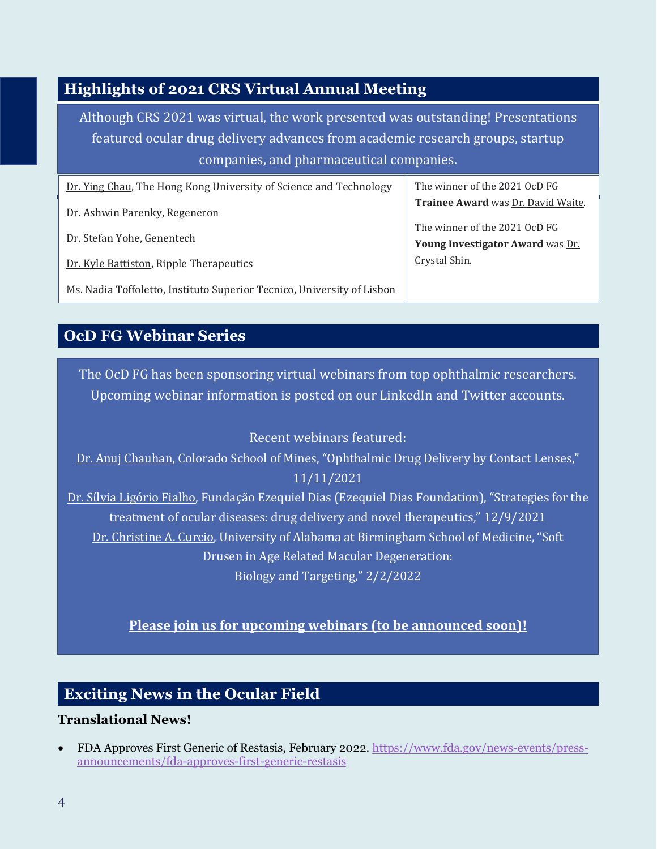# **Highlights of 2021 CRS Virtual Annual Meeting**

Although CRS 2021 was virtual, the work presented was outstanding! Presentations featured ocular drug delivery advances from academic research groups, startup companies, and pharmaceutical companies.

| Dr. Ying Chau, The Hong Kong University of Science and Technology      | The winner of the 2021 OcD FG      |
|------------------------------------------------------------------------|------------------------------------|
| Dr. Ashwin Parenky, Regeneron                                          | Trainee Award was Dr. David Waite. |
| Dr. Stefan Yohe, Genentech                                             | The winner of the 2021 OcD FG      |
|                                                                        | Young Investigator Award was Dr.   |
| Dr. Kyle Battiston, Ripple Therapeutics                                | Crystal Shin.                      |
| Ms. Nadia Toffoletto, Instituto Superior Tecnico, University of Lisbon |                                    |

# **OcD FG Webinar Series**

The OcD FG has been sponsoring virtual webinars from top ophthalmic researchers. Upcoming webinar information is posted on our LinkedIn and Twitter accounts.

## Recent webinars featured:

Dr. Anuj Chauhan, Colorado School of Mines, "Ophthalmic Drug Delivery by Contact Lenses," 11/11/2021

Dr. Sίlvia Ligório Fialho, Fundação Ezequiel Dias (Ezequiel Dias Foundation), "Strategies for the treatment of ocular diseases: drug delivery and novel therapeutics," 12/9/2021 Dr. Christine A. Curcio, University of Alabama at Birmingham School of Medicine, "Soft Drusen in Age Related Macular Degeneration: Biology and Targeting," 2/2/2022

## **Please join us for upcoming webinars (to be announced soon)!**

## **Exciting News in the Ocular Field**

#### **Translational News!**

• FDA Approves First Generic of Restasis, February 2022. [https://www.fda.gov/news-events/press](https://www.fda.gov/news-events/press-announcements/fda-approves-first-generic-restasis)[announcements/fda-approves-first-generic-restasis](https://www.fda.gov/news-events/press-announcements/fda-approves-first-generic-restasis)